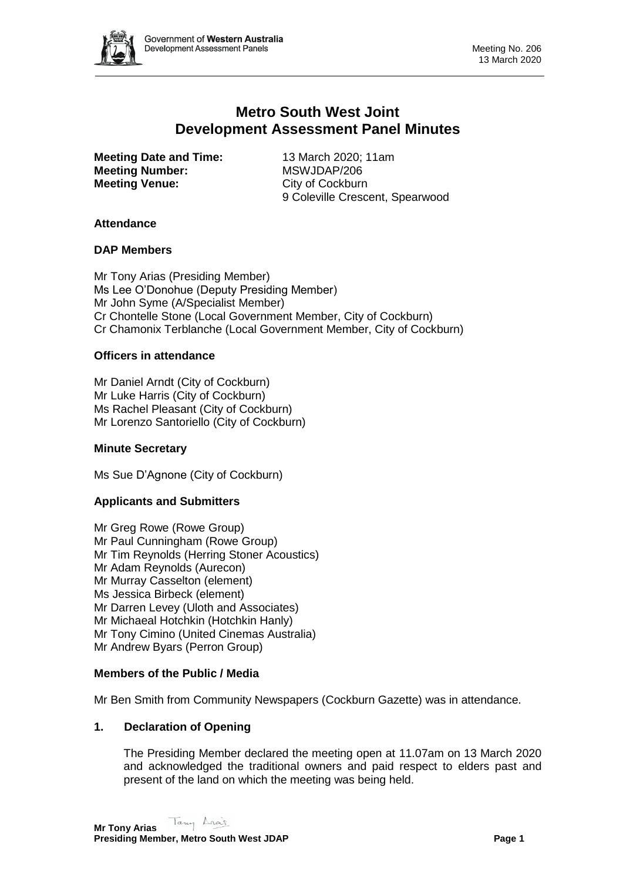

# **Metro South West Joint Development Assessment Panel Minutes**

**Meeting Date and Time:** 13 March 2020; 11am **Meeting Number:** MSWJDAP/206 **Meeting Venue:** City of Cockburn

9 Coleville Crescent, Spearwood

# **Attendance**

# **DAP Members**

Mr Tony Arias (Presiding Member) Ms Lee O'Donohue (Deputy Presiding Member) Mr John Syme (A/Specialist Member) Cr Chontelle Stone (Local Government Member, City of Cockburn) Cr Chamonix Terblanche (Local Government Member, City of Cockburn)

#### **Officers in attendance**

Mr Daniel Arndt (City of Cockburn) Mr Luke Harris (City of Cockburn) Ms Rachel Pleasant (City of Cockburn) Mr Lorenzo Santoriello (City of Cockburn)

# **Minute Secretary**

Ms Sue D'Agnone (City of Cockburn)

# **Applicants and Submitters**

Mr Greg Rowe (Rowe Group) Mr Paul Cunningham (Rowe Group) Mr Tim Reynolds (Herring Stoner Acoustics) Mr Adam Reynolds (Aurecon) Mr Murray Casselton (element) Ms Jessica Birbeck (element) Mr Darren Levey (Uloth and Associates) Mr Michaeal Hotchkin (Hotchkin Hanly) Mr Tony Cimino (United Cinemas Australia) Mr Andrew Byars (Perron Group)

# **Members of the Public / Media**

Mr Ben Smith from Community Newspapers (Cockburn Gazette) was in attendance.

# **1. Declaration of Opening**

The Presiding Member declared the meeting open at 11.07am on 13 March 2020 and acknowledged the traditional owners and paid respect to elders past and present of the land on which the meeting was being held.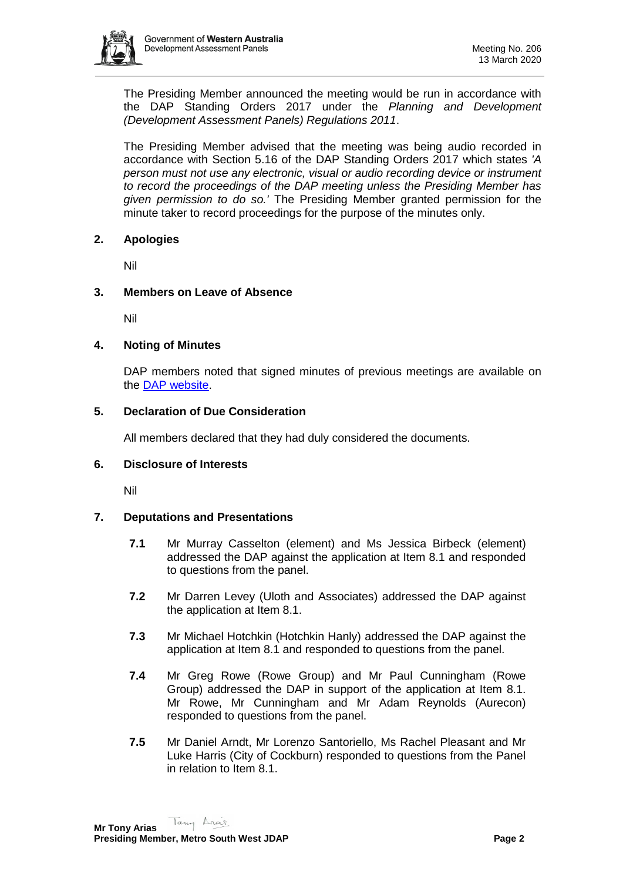

The Presiding Member announced the meeting would be run in accordance with the DAP Standing Orders 2017 under the *Planning and Development (Development Assessment Panels) Regulations 2011*.

The Presiding Member advised that the meeting was being audio recorded in accordance with Section 5.16 of the DAP Standing Orders 2017 which states *'A person must not use any electronic, visual or audio recording device or instrument to record the proceedings of the DAP meeting unless the Presiding Member has given permission to do so.'* The Presiding Member granted permission for the minute taker to record proceedings for the purpose of the minutes only.

#### **2. Apologies**

Nil

#### **3. Members on Leave of Absence**

Nil

#### **4. Noting of Minutes**

DAP members noted that signed minutes of previous meetings are available on the [DAP website.](https://www.dplh.wa.gov.au/about/development-assessment-panels/daps-agendas-and-minutes)

#### **5. Declaration of Due Consideration**

All members declared that they had duly considered the documents.

#### **6. Disclosure of Interests**

Nil

#### **7. Deputations and Presentations**

- **7.1** Mr Murray Casselton (element) and Ms Jessica Birbeck (element) addressed the DAP against the application at Item 8.1 and responded to questions from the panel.
- **7.2** Mr Darren Levey (Uloth and Associates) addressed the DAP against the application at Item 8.1.
- **7.3** Mr Michael Hotchkin (Hotchkin Hanly) addressed the DAP against the application at Item 8.1 and responded to questions from the panel.
- **7.4** Mr Greg Rowe (Rowe Group) and Mr Paul Cunningham (Rowe Group) addressed the DAP in support of the application at Item 8.1. Mr Rowe, Mr Cunningham and Mr Adam Reynolds (Aurecon) responded to questions from the panel.
- **7.5** Mr Daniel Arndt, Mr Lorenzo Santoriello, Ms Rachel Pleasant and Mr Luke Harris (City of Cockburn) responded to questions from the Panel in relation to Item 8.1.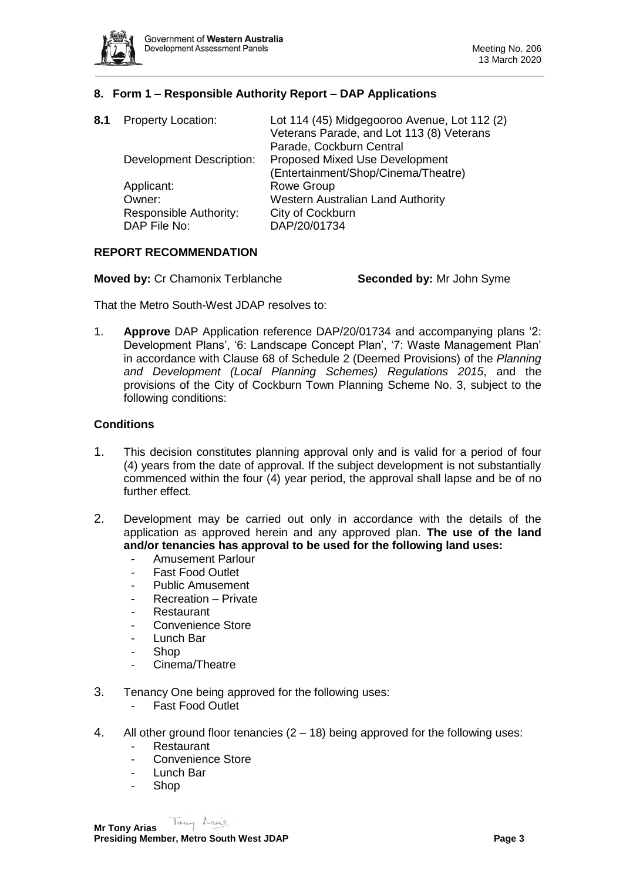

# **8. Form 1 – Responsible Authority Report – DAP Applications**

| <b>Property Location:</b>              | Lot 114 (45) Midgegooroo Avenue, Lot 112 (2)<br>Veterans Parade, and Lot 113 (8) Veterans<br>Parade, Cockburn Central |
|----------------------------------------|-----------------------------------------------------------------------------------------------------------------------|
| <b>Development Description:</b>        | <b>Proposed Mixed Use Development</b><br>(Entertainment/Shop/Cinema/Theatre)                                          |
| Applicant:                             | <b>Rowe Group</b>                                                                                                     |
| Owner:                                 | <b>Western Australian Land Authority</b>                                                                              |
| Responsible Authority:<br>DAP File No: | City of Cockburn<br>DAP/20/01734                                                                                      |
|                                        |                                                                                                                       |

# **REPORT RECOMMENDATION**

That the Metro South-West JDAP resolves to:

1. **Approve** DAP Application reference DAP/20/01734 and accompanying plans '2: Development Plans', '6: Landscape Concept Plan', '7: Waste Management Plan' in accordance with Clause 68 of Schedule 2 (Deemed Provisions) of the *Planning and Development (Local Planning Schemes) Regulations 2015*, and the provisions of the City of Cockburn Town Planning Scheme No. 3, subject to the following conditions:

# **Conditions**

- 1. This decision constitutes planning approval only and is valid for a period of four (4) years from the date of approval. If the subject development is not substantially commenced within the four (4) year period, the approval shall lapse and be of no further effect.
- 2. Development may be carried out only in accordance with the details of the application as approved herein and any approved plan. **The use of the land and/or tenancies has approval to be used for the following land uses:**
	- Amusement Parlour
	- **Fast Food Outlet**
	- Public Amusement
	- Recreation Private
	- **Restaurant**
	- Convenience Store
	- Lunch Bar
	- Shop
	- Cinema/Theatre
- 3. Tenancy One being approved for the following uses:
	- Fast Food Outlet
- 4. All other ground floor tenancies  $(2 18)$  being approved for the following uses:
	- **Restaurant**
	- Convenience Store
	- Lunch Bar
	- Shop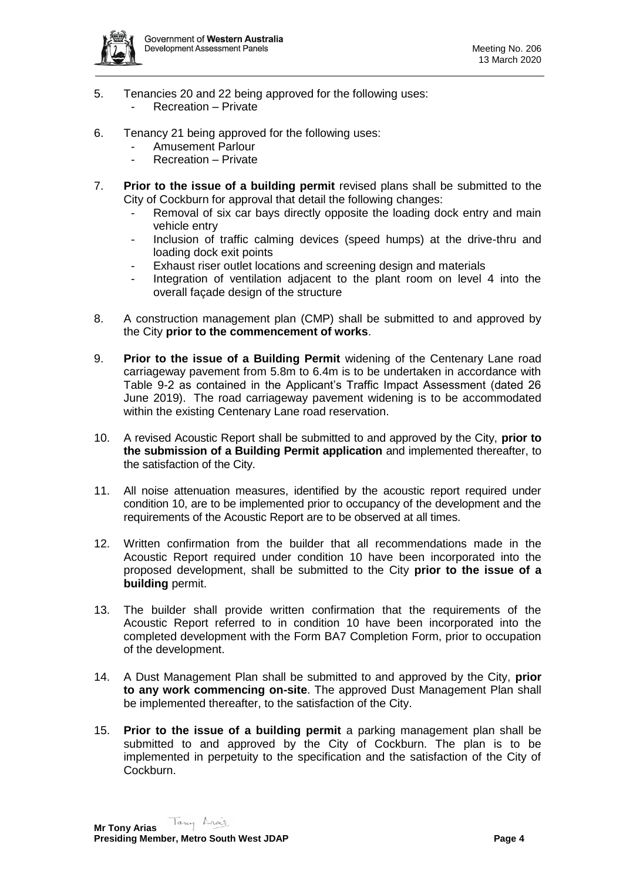

- 5. Tenancies 20 and 22 being approved for the following uses: - Recreation – Private
- 6. Tenancy 21 being approved for the following uses:
	- Amusement Parlour
	- Recreation Private
- 7. **Prior to the issue of a building permit** revised plans shall be submitted to the City of Cockburn for approval that detail the following changes:
	- Removal of six car bays directly opposite the loading dock entry and main vehicle entry
	- Inclusion of traffic calming devices (speed humps) at the drive-thru and loading dock exit points
	- Exhaust riser outlet locations and screening design and materials
	- Integration of ventilation adjacent to the plant room on level 4 into the overall façade design of the structure
- 8. A construction management plan (CMP) shall be submitted to and approved by the City **prior to the commencement of works**.
- 9. **Prior to the issue of a Building Permit** widening of the Centenary Lane road carriageway pavement from 5.8m to 6.4m is to be undertaken in accordance with Table 9-2 as contained in the Applicant's Traffic Impact Assessment (dated 26 June 2019). The road carriageway pavement widening is to be accommodated within the existing Centenary Lane road reservation.
- 10. A revised Acoustic Report shall be submitted to and approved by the City, **prior to the submission of a Building Permit application** and implemented thereafter, to the satisfaction of the City.
- 11. All noise attenuation measures, identified by the acoustic report required under condition 10, are to be implemented prior to occupancy of the development and the requirements of the Acoustic Report are to be observed at all times.
- 12. Written confirmation from the builder that all recommendations made in the Acoustic Report required under condition 10 have been incorporated into the proposed development, shall be submitted to the City **prior to the issue of a building** permit.
- 13. The builder shall provide written confirmation that the requirements of the Acoustic Report referred to in condition 10 have been incorporated into the completed development with the Form BA7 Completion Form, prior to occupation of the development.
- 14. A Dust Management Plan shall be submitted to and approved by the City, **prior to any work commencing on-site**. The approved Dust Management Plan shall be implemented thereafter, to the satisfaction of the City.
- 15. **Prior to the issue of a building permit** a parking management plan shall be submitted to and approved by the City of Cockburn. The plan is to be implemented in perpetuity to the specification and the satisfaction of the City of Cockburn.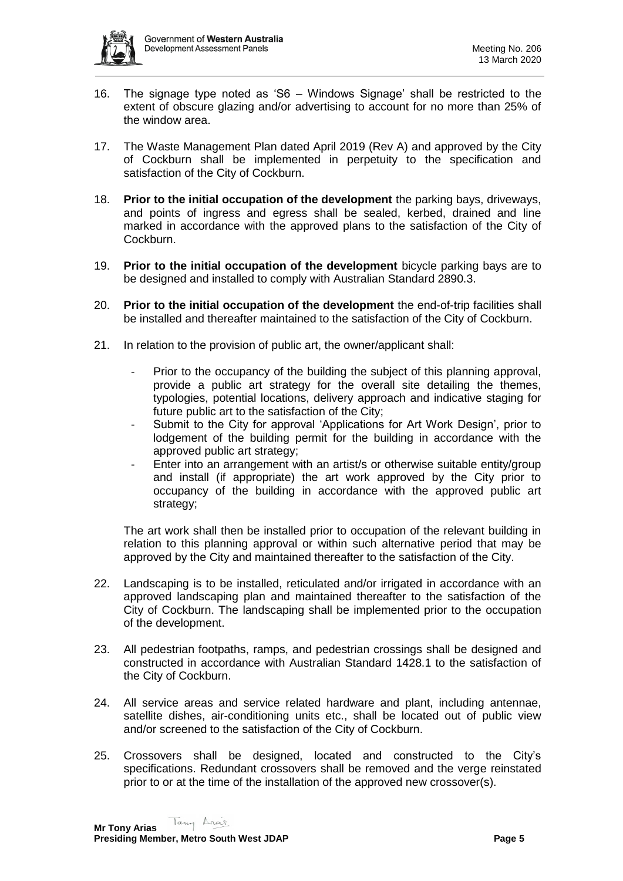

- 16. The signage type noted as 'S6 Windows Signage' shall be restricted to the extent of obscure glazing and/or advertising to account for no more than 25% of the window area.
- 17. The Waste Management Plan dated April 2019 (Rev A) and approved by the City of Cockburn shall be implemented in perpetuity to the specification and satisfaction of the City of Cockburn.
- 18. **Prior to the initial occupation of the development** the parking bays, driveways, and points of ingress and egress shall be sealed, kerbed, drained and line marked in accordance with the approved plans to the satisfaction of the City of Cockburn.
- 19. **Prior to the initial occupation of the development** bicycle parking bays are to be designed and installed to comply with Australian Standard 2890.3.
- 20. **Prior to the initial occupation of the development** the end-of-trip facilities shall be installed and thereafter maintained to the satisfaction of the City of Cockburn.
- 21. In relation to the provision of public art, the owner/applicant shall:
	- Prior to the occupancy of the building the subject of this planning approval, provide a public art strategy for the overall site detailing the themes, typologies, potential locations, delivery approach and indicative staging for future public art to the satisfaction of the City;
	- Submit to the City for approval 'Applications for Art Work Design', prior to lodgement of the building permit for the building in accordance with the approved public art strategy;
	- Enter into an arrangement with an artist/s or otherwise suitable entity/group and install (if appropriate) the art work approved by the City prior to occupancy of the building in accordance with the approved public art strategy;

The art work shall then be installed prior to occupation of the relevant building in relation to this planning approval or within such alternative period that may be approved by the City and maintained thereafter to the satisfaction of the City.

- 22. Landscaping is to be installed, reticulated and/or irrigated in accordance with an approved landscaping plan and maintained thereafter to the satisfaction of the City of Cockburn. The landscaping shall be implemented prior to the occupation of the development.
- 23. All pedestrian footpaths, ramps, and pedestrian crossings shall be designed and constructed in accordance with Australian Standard 1428.1 to the satisfaction of the City of Cockburn.
- 24. All service areas and service related hardware and plant, including antennae, satellite dishes, air-conditioning units etc., shall be located out of public view and/or screened to the satisfaction of the City of Cockburn.
- 25. Crossovers shall be designed, located and constructed to the City's specifications. Redundant crossovers shall be removed and the verge reinstated prior to or at the time of the installation of the approved new crossover(s).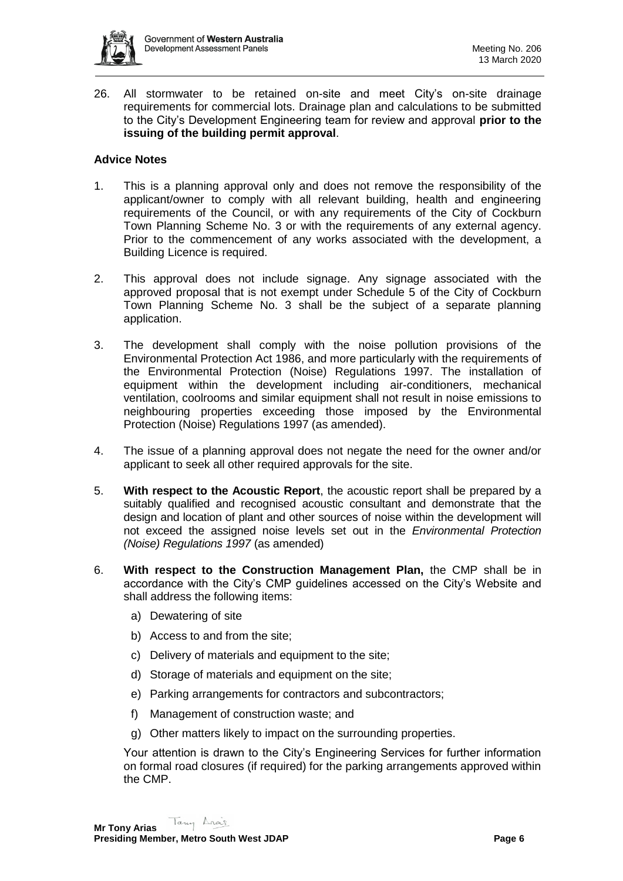

26. All stormwater to be retained on-site and meet City's on-site drainage requirements for commercial lots. Drainage plan and calculations to be submitted to the City's Development Engineering team for review and approval **prior to the issuing of the building permit approval**.

# **Advice Notes**

- 1. This is a planning approval only and does not remove the responsibility of the applicant/owner to comply with all relevant building, health and engineering requirements of the Council, or with any requirements of the City of Cockburn Town Planning Scheme No. 3 or with the requirements of any external agency. Prior to the commencement of any works associated with the development, a Building Licence is required.
- 2. This approval does not include signage. Any signage associated with the approved proposal that is not exempt under Schedule 5 of the City of Cockburn Town Planning Scheme No. 3 shall be the subject of a separate planning application.
- 3. The development shall comply with the noise pollution provisions of the Environmental Protection Act 1986, and more particularly with the requirements of the Environmental Protection (Noise) Regulations 1997. The installation of equipment within the development including air-conditioners, mechanical ventilation, coolrooms and similar equipment shall not result in noise emissions to neighbouring properties exceeding those imposed by the Environmental Protection (Noise) Regulations 1997 (as amended).
- 4. The issue of a planning approval does not negate the need for the owner and/or applicant to seek all other required approvals for the site.
- 5. **With respect to the Acoustic Report**, the acoustic report shall be prepared by a suitably qualified and recognised acoustic consultant and demonstrate that the design and location of plant and other sources of noise within the development will not exceed the assigned noise levels set out in the *Environmental Protection (Noise) Regulations 1997* (as amended)
- 6. **With respect to the Construction Management Plan,** the CMP shall be in accordance with the City's CMP guidelines accessed on the City's Website and shall address the following items:
	- a) Dewatering of site
	- b) Access to and from the site;
	- c) Delivery of materials and equipment to the site;
	- d) Storage of materials and equipment on the site;
	- e) Parking arrangements for contractors and subcontractors;
	- f) Management of construction waste; and
	- g) Other matters likely to impact on the surrounding properties.

Your attention is drawn to the City's Engineering Services for further information on formal road closures (if required) for the parking arrangements approved within the CMP.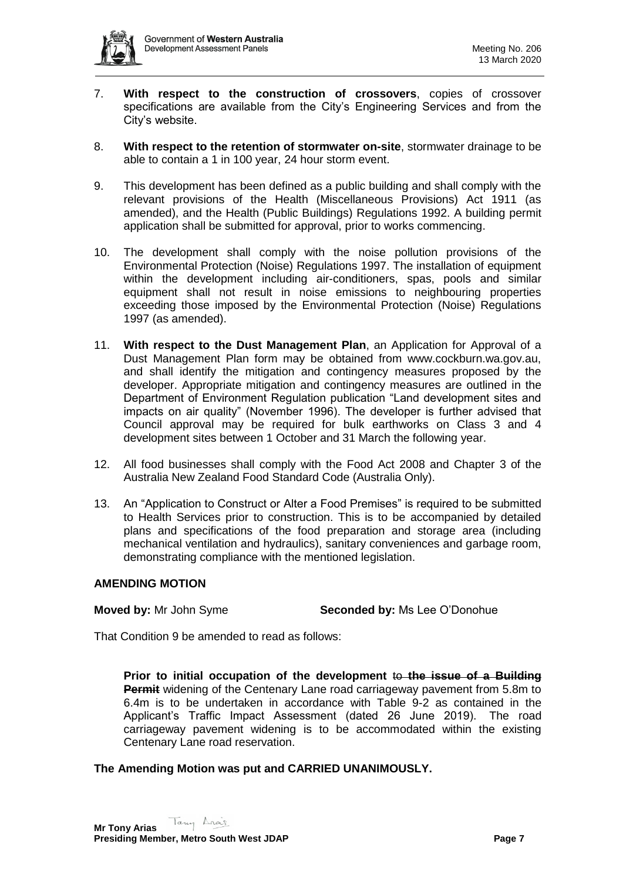

- 7. **With respect to the construction of crossovers**, copies of crossover specifications are available from the City's Engineering Services and from the City's website.
- 8. **With respect to the retention of stormwater on-site**, stormwater drainage to be able to contain a 1 in 100 year, 24 hour storm event.
- 9. This development has been defined as a public building and shall comply with the relevant provisions of the Health (Miscellaneous Provisions) Act 1911 (as amended), and the Health (Public Buildings) Regulations 1992. A building permit application shall be submitted for approval, prior to works commencing.
- 10. The development shall comply with the noise pollution provisions of the Environmental Protection (Noise) Regulations 1997. The installation of equipment within the development including air-conditioners, spas, pools and similar equipment shall not result in noise emissions to neighbouring properties exceeding those imposed by the Environmental Protection (Noise) Regulations 1997 (as amended).
- 11. **With respect to the Dust Management Plan**, an Application for Approval of a Dust Management Plan form may be obtained from www.cockburn.wa.gov.au, and shall identify the mitigation and contingency measures proposed by the developer. Appropriate mitigation and contingency measures are outlined in the Department of Environment Regulation publication "Land development sites and impacts on air quality" (November 1996). The developer is further advised that Council approval may be required for bulk earthworks on Class 3 and 4 development sites between 1 October and 31 March the following year.
- 12. All food businesses shall comply with the Food Act 2008 and Chapter 3 of the Australia New Zealand Food Standard Code (Australia Only).
- 13. An "Application to Construct or Alter a Food Premises" is required to be submitted to Health Services prior to construction. This is to be accompanied by detailed plans and specifications of the food preparation and storage area (including mechanical ventilation and hydraulics), sanitary conveniences and garbage room, demonstrating compliance with the mentioned legislation.

# **AMENDING MOTION**

**Moved by:** Mr John Syme **Seconded by:** Ms Lee O'Donohue

That Condition 9 be amended to read as follows:

Prior to initial occupation of the development to the issue of a Building **Permit** widening of the Centenary Lane road carriageway pavement from 5.8m to 6.4m is to be undertaken in accordance with Table 9-2 as contained in the Applicant's Traffic Impact Assessment (dated 26 June 2019). The road carriageway pavement widening is to be accommodated within the existing Centenary Lane road reservation.

# **The Amending Motion was put and CARRIED UNANIMOUSLY.**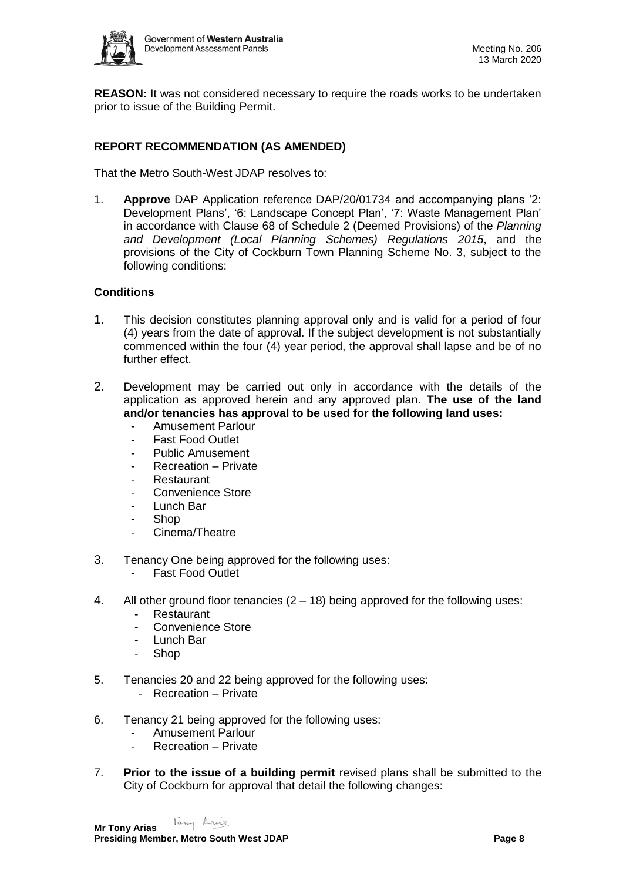

**REASON:** It was not considered necessary to require the roads works to be undertaken prior to issue of the Building Permit.

# **REPORT RECOMMENDATION (AS AMENDED)**

That the Metro South-West JDAP resolves to:

1. **Approve** DAP Application reference DAP/20/01734 and accompanying plans '2: Development Plans', '6: Landscape Concept Plan', '7: Waste Management Plan' in accordance with Clause 68 of Schedule 2 (Deemed Provisions) of the *Planning and Development (Local Planning Schemes) Regulations 2015*, and the provisions of the City of Cockburn Town Planning Scheme No. 3, subject to the following conditions:

#### **Conditions**

- 1. This decision constitutes planning approval only and is valid for a period of four (4) years from the date of approval. If the subject development is not substantially commenced within the four (4) year period, the approval shall lapse and be of no further effect.
- 2. Development may be carried out only in accordance with the details of the application as approved herein and any approved plan. **The use of the land and/or tenancies has approval to be used for the following land uses:**
	- Amusement Parlour
	- Fast Food Outlet
	- Public Amusement
	- Recreation Private
	- **Restaurant**
	- Convenience Store
	- Lunch Bar
	- Shop
	- Cinema/Theatre
- 3. Tenancy One being approved for the following uses:
	- Fast Food Outlet
- 4. All other ground floor tenancies (2 18) being approved for the following uses:
	- **Restaurant**
	- Convenience Store
	- Lunch Bar
	- Shop
- 5. Tenancies 20 and 22 being approved for the following uses:
	- Recreation Private
- 6. Tenancy 21 being approved for the following uses:
	- Amusement Parlour
	- Recreation Private
- 7. **Prior to the issue of a building permit** revised plans shall be submitted to the City of Cockburn for approval that detail the following changes: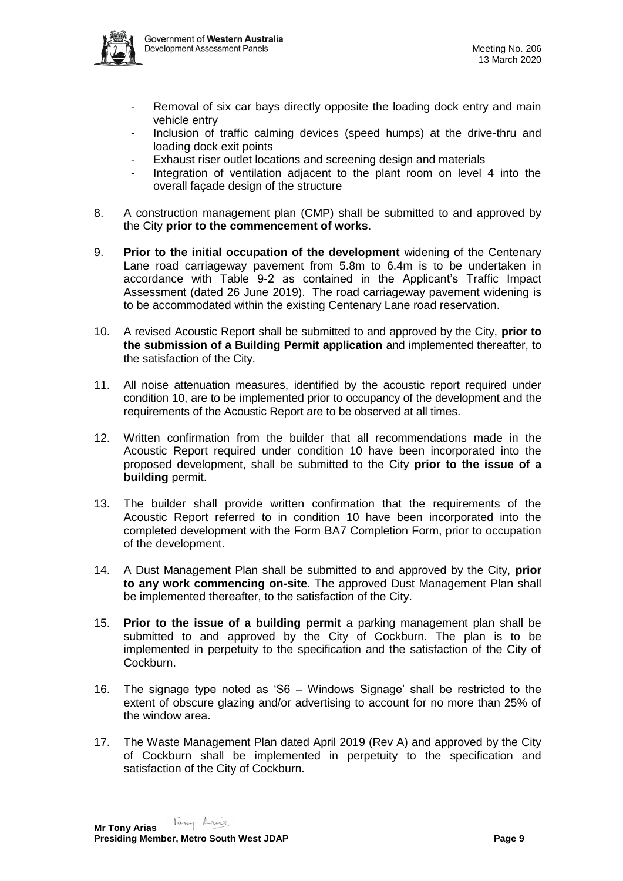

- Removal of six car bays directly opposite the loading dock entry and main vehicle entry
- Inclusion of traffic calming devices (speed humps) at the drive-thru and loading dock exit points
- Exhaust riser outlet locations and screening design and materials
- Integration of ventilation adjacent to the plant room on level 4 into the overall façade design of the structure
- 8. A construction management plan (CMP) shall be submitted to and approved by the City **prior to the commencement of works**.
- 9. **Prior to the initial occupation of the development** widening of the Centenary Lane road carriageway pavement from 5.8m to 6.4m is to be undertaken in accordance with Table 9-2 as contained in the Applicant's Traffic Impact Assessment (dated 26 June 2019). The road carriageway pavement widening is to be accommodated within the existing Centenary Lane road reservation.
- 10. A revised Acoustic Report shall be submitted to and approved by the City, **prior to the submission of a Building Permit application** and implemented thereafter, to the satisfaction of the City.
- 11. All noise attenuation measures, identified by the acoustic report required under condition 10, are to be implemented prior to occupancy of the development and the requirements of the Acoustic Report are to be observed at all times.
- 12. Written confirmation from the builder that all recommendations made in the Acoustic Report required under condition 10 have been incorporated into the proposed development, shall be submitted to the City **prior to the issue of a building** permit.
- 13. The builder shall provide written confirmation that the requirements of the Acoustic Report referred to in condition 10 have been incorporated into the completed development with the Form BA7 Completion Form, prior to occupation of the development.
- 14. A Dust Management Plan shall be submitted to and approved by the City, **prior to any work commencing on-site**. The approved Dust Management Plan shall be implemented thereafter, to the satisfaction of the City.
- 15. **Prior to the issue of a building permit** a parking management plan shall be submitted to and approved by the City of Cockburn. The plan is to be implemented in perpetuity to the specification and the satisfaction of the City of Cockburn.
- 16. The signage type noted as 'S6 Windows Signage' shall be restricted to the extent of obscure glazing and/or advertising to account for no more than 25% of the window area.
- 17. The Waste Management Plan dated April 2019 (Rev A) and approved by the City of Cockburn shall be implemented in perpetuity to the specification and satisfaction of the City of Cockburn.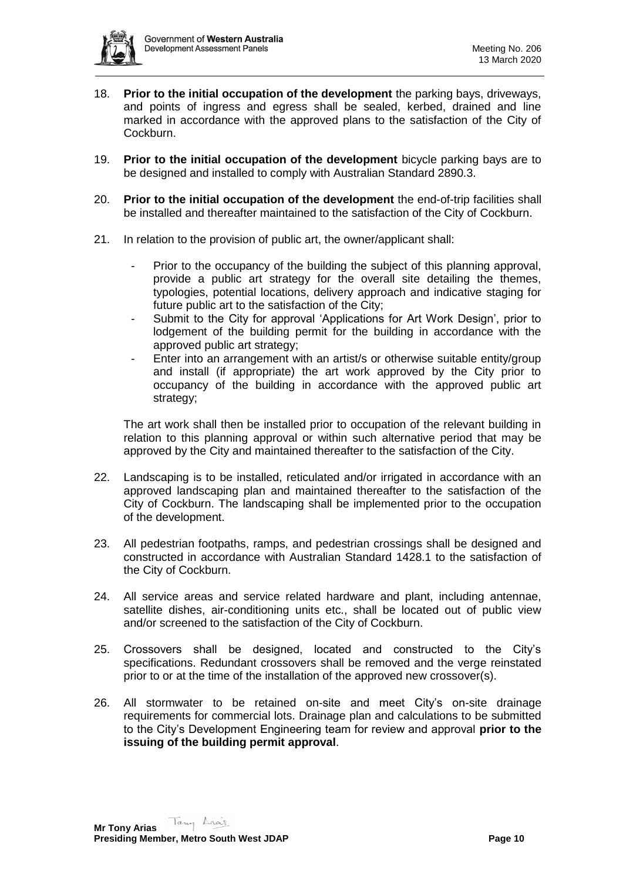

- 18. **Prior to the initial occupation of the development** the parking bays, driveways, and points of ingress and egress shall be sealed, kerbed, drained and line marked in accordance with the approved plans to the satisfaction of the City of Cockburn.
- 19. **Prior to the initial occupation of the development** bicycle parking bays are to be designed and installed to comply with Australian Standard 2890.3.
- 20. **Prior to the initial occupation of the development** the end-of-trip facilities shall be installed and thereafter maintained to the satisfaction of the City of Cockburn.
- 21. In relation to the provision of public art, the owner/applicant shall:
	- Prior to the occupancy of the building the subject of this planning approval, provide a public art strategy for the overall site detailing the themes, typologies, potential locations, delivery approach and indicative staging for future public art to the satisfaction of the City;
	- Submit to the City for approval 'Applications for Art Work Design', prior to lodgement of the building permit for the building in accordance with the approved public art strategy;
	- Enter into an arrangement with an artist/s or otherwise suitable entity/group and install (if appropriate) the art work approved by the City prior to occupancy of the building in accordance with the approved public art strategy;

The art work shall then be installed prior to occupation of the relevant building in relation to this planning approval or within such alternative period that may be approved by the City and maintained thereafter to the satisfaction of the City.

- 22. Landscaping is to be installed, reticulated and/or irrigated in accordance with an approved landscaping plan and maintained thereafter to the satisfaction of the City of Cockburn. The landscaping shall be implemented prior to the occupation of the development.
- 23. All pedestrian footpaths, ramps, and pedestrian crossings shall be designed and constructed in accordance with Australian Standard 1428.1 to the satisfaction of the City of Cockburn.
- 24. All service areas and service related hardware and plant, including antennae, satellite dishes, air-conditioning units etc., shall be located out of public view and/or screened to the satisfaction of the City of Cockburn.
- 25. Crossovers shall be designed, located and constructed to the City's specifications. Redundant crossovers shall be removed and the verge reinstated prior to or at the time of the installation of the approved new crossover(s).
- 26. All stormwater to be retained on-site and meet City's on-site drainage requirements for commercial lots. Drainage plan and calculations to be submitted to the City's Development Engineering team for review and approval **prior to the issuing of the building permit approval**.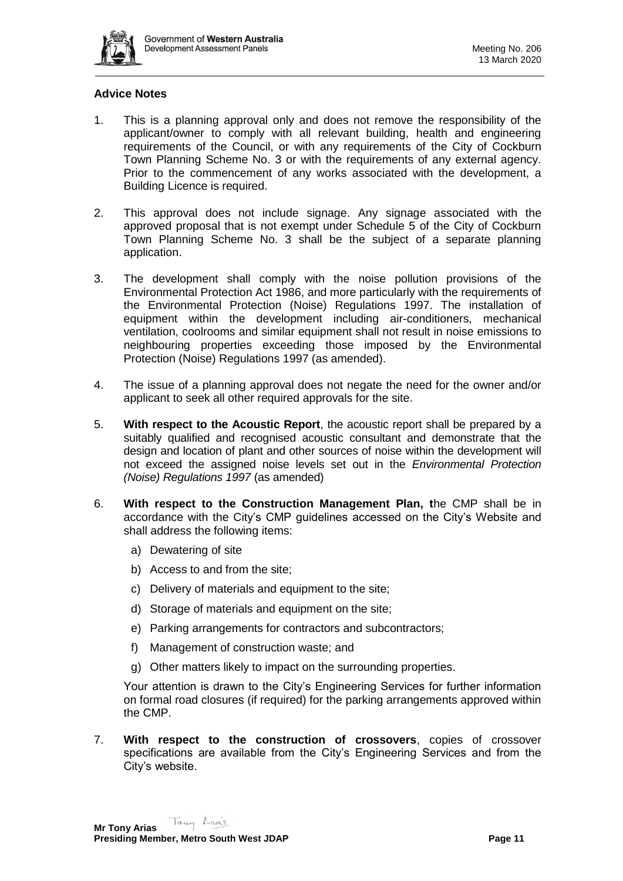

# **Advice Notes**

- 1. This is a planning approval only and does not remove the responsibility of the applicant/owner to comply with all relevant building, health and engineering requirements of the Council, or with any requirements of the City of Cockburn Town Planning Scheme No. 3 or with the requirements of any external agency. Prior to the commencement of any works associated with the development, a Building Licence is required.
- 2. This approval does not include signage. Any signage associated with the approved proposal that is not exempt under Schedule 5 of the City of Cockburn Town Planning Scheme No. 3 shall be the subject of a separate planning application.
- 3. The development shall comply with the noise pollution provisions of the Environmental Protection Act 1986, and more particularly with the requirements of the Environmental Protection (Noise) Regulations 1997. The installation of equipment within the development including air-conditioners, mechanical ventilation, coolrooms and similar equipment shall not result in noise emissions to neighbouring properties exceeding those imposed by the Environmental Protection (Noise) Regulations 1997 (as amended).
- 4. The issue of a planning approval does not negate the need for the owner and/or applicant to seek all other required approvals for the site.
- 5. **With respect to the Acoustic Report**, the acoustic report shall be prepared by a suitably qualified and recognised acoustic consultant and demonstrate that the design and location of plant and other sources of noise within the development will not exceed the assigned noise levels set out in the *Environmental Protection (Noise) Regulations 1997* (as amended)
- 6. **With respect to the Construction Management Plan, t**he CMP shall be in accordance with the City's CMP guidelines accessed on the City's Website and shall address the following items:
	- a) Dewatering of site
	- b) Access to and from the site;
	- c) Delivery of materials and equipment to the site;
	- d) Storage of materials and equipment on the site;
	- e) Parking arrangements for contractors and subcontractors;
	- f) Management of construction waste; and
	- g) Other matters likely to impact on the surrounding properties.

Your attention is drawn to the City's Engineering Services for further information on formal road closures (if required) for the parking arrangements approved within the CMP.

7. **With respect to the construction of crossovers**, copies of crossover specifications are available from the City's Engineering Services and from the City's website.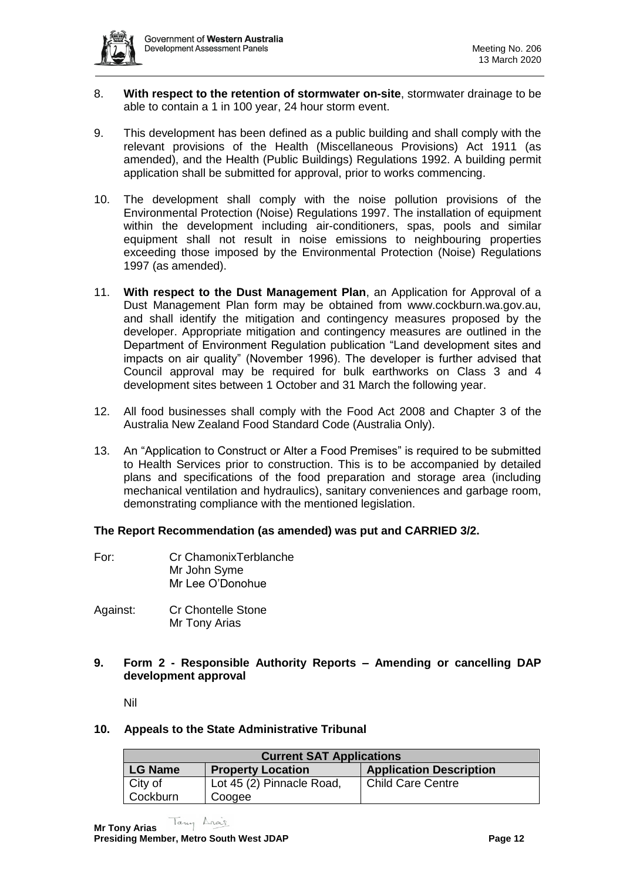

- 8. **With respect to the retention of stormwater on-site**, stormwater drainage to be able to contain a 1 in 100 year, 24 hour storm event.
- 9. This development has been defined as a public building and shall comply with the relevant provisions of the Health (Miscellaneous Provisions) Act 1911 (as amended), and the Health (Public Buildings) Regulations 1992. A building permit application shall be submitted for approval, prior to works commencing.
- 10. The development shall comply with the noise pollution provisions of the Environmental Protection (Noise) Regulations 1997. The installation of equipment within the development including air-conditioners, spas, pools and similar equipment shall not result in noise emissions to neighbouring properties exceeding those imposed by the Environmental Protection (Noise) Regulations 1997 (as amended).
- 11. **With respect to the Dust Management Plan**, an Application for Approval of a Dust Management Plan form may be obtained from www.cockburn.wa.gov.au, and shall identify the mitigation and contingency measures proposed by the developer. Appropriate mitigation and contingency measures are outlined in the Department of Environment Regulation publication "Land development sites and impacts on air quality" (November 1996). The developer is further advised that Council approval may be required for bulk earthworks on Class 3 and 4 development sites between 1 October and 31 March the following year.
- 12. All food businesses shall comply with the Food Act 2008 and Chapter 3 of the Australia New Zealand Food Standard Code (Australia Only).
- 13. An "Application to Construct or Alter a Food Premises" is required to be submitted to Health Services prior to construction. This is to be accompanied by detailed plans and specifications of the food preparation and storage area (including mechanical ventilation and hydraulics), sanitary conveniences and garbage room, demonstrating compliance with the mentioned legislation.

# **The Report Recommendation (as amended) was put and CARRIED 3/2.**

- For: Cr ChamonixTerblanche Mr John Syme Mr Lee O'Donohue
- Against: Cr Chontelle Stone Mr Tony Arias
- **9. Form 2 - Responsible Authority Reports – Amending or cancelling DAP development approval**

Nil

#### **10. Appeals to the State Administrative Tribunal**

| <b>Current SAT Applications</b>            |                           |                                |  |
|--------------------------------------------|---------------------------|--------------------------------|--|
| <b>LG Name</b><br><b>Property Location</b> |                           | <b>Application Description</b> |  |
| City of                                    | Lot 45 (2) Pinnacle Road, | <b>Child Care Centre</b>       |  |
| Cockburn                                   | Coogee                    |                                |  |